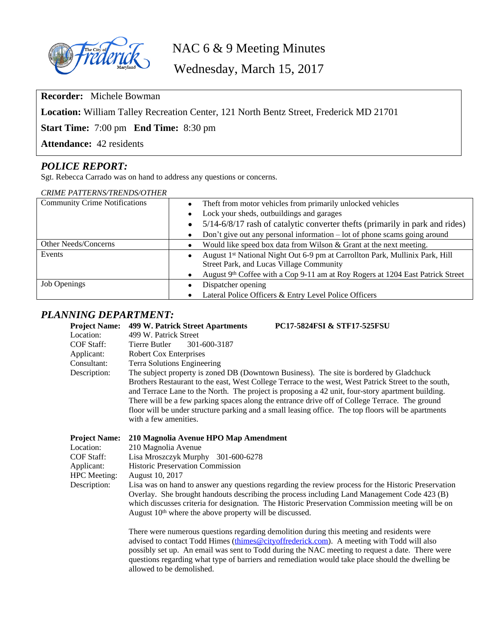

NAC 6 & 9 Meeting Minutes

Wednesday, March 15, 2017

**Recorder:** Michele Bowman

**Location:** William Talley Recreation Center, 121 North Bentz Street, Frederick MD 21701

**Start Time:** 7:00 pm **End Time:** 8:30 pm

**Attendance:** 42 residents

## *POLICE REPORT:*

Sgt. Rebecca Carrado was on hand to address any questions or concerns.

| <b>CRIME PATTERNS/TRENDS/OTHER</b>   |                                                                                |  |
|--------------------------------------|--------------------------------------------------------------------------------|--|
| <b>Community Crime Notifications</b> | Theft from motor vehicles from primarily unlocked vehicles                     |  |
|                                      | Lock your sheds, outbuildings and garages<br>$\bullet$                         |  |
|                                      | 5/14-6/8/17 rash of catalytic converter thefts (primarily in park and rides)   |  |
|                                      | Don't give out any personal information – lot of phone scams going around      |  |
| Other Needs/Concerns                 | Would like speed box data from Wilson & Grant at the next meeting.             |  |
| Events                               | August 1st National Night Out 6-9 pm at Carrollton Park, Mullinix Park, Hill   |  |
|                                      | Street Park, and Lucas Village Community                                       |  |
|                                      | August 9th Coffee with a Cop 9-11 am at Roy Rogers at 1204 East Patrick Street |  |
| <b>Job Openings</b>                  | Dispatcher opening                                                             |  |
|                                      | Lateral Police Officers & Entry Level Police Officers                          |  |

### *PLANNING DEPARTMENT:*

| <b>Project Name:</b>                         | PC17-5824FSI & STF17-525FSU<br>499 W. Patrick Street Apartments                                                                                                                                                                                                                                                                                                                                                                                                                                                                        |
|----------------------------------------------|----------------------------------------------------------------------------------------------------------------------------------------------------------------------------------------------------------------------------------------------------------------------------------------------------------------------------------------------------------------------------------------------------------------------------------------------------------------------------------------------------------------------------------------|
| Location:                                    | 499 W. Patrick Street                                                                                                                                                                                                                                                                                                                                                                                                                                                                                                                  |
| <b>COF Staff:</b>                            | 301-600-3187<br>Tierre Butler                                                                                                                                                                                                                                                                                                                                                                                                                                                                                                          |
| Applicant:                                   | <b>Robert Cox Enterprises</b>                                                                                                                                                                                                                                                                                                                                                                                                                                                                                                          |
| Consultant:                                  | Terra Solutions Engineering                                                                                                                                                                                                                                                                                                                                                                                                                                                                                                            |
| Description:                                 | The subject property is zoned DB (Downtown Business). The site is bordered by Gladchuck<br>Brothers Restaurant to the east, West College Terrace to the west, West Patrick Street to the south,<br>and Terrace Lane to the North. The project is proposing a 42 unit, four-story apartment building.<br>There will be a few parking spaces along the entrance drive off of College Terrace. The ground<br>floor will be under structure parking and a small leasing office. The top floors will be apartments<br>with a few amenities. |
| <b>Project Name:</b>                         | 210 Magnolia Avenue HPO Map Amendment                                                                                                                                                                                                                                                                                                                                                                                                                                                                                                  |
| Location:                                    | 210 Magnolia Avenue                                                                                                                                                                                                                                                                                                                                                                                                                                                                                                                    |
| $C_{\mathcal{D}}$ $\Gamma$ $C_{\mathcal{D}}$ | $I^{\prime}$ . $M = 1 M = 1 - 201$ (00.6279)                                                                                                                                                                                                                                                                                                                                                                                                                                                                                           |

| Location:           | 210 Magnolia Avenue                                                                                 |
|---------------------|-----------------------------------------------------------------------------------------------------|
| COF Staff:          | Lisa Mroszczyk Murphy<br>301-600-6278                                                               |
| Applicant:          | Historic Preservation Commission                                                                    |
| <b>HPC</b> Meeting: | August 10, 2017                                                                                     |
| Description:        | Lisa was on hand to answer any questions regarding the review process for the Historic Preservation |
|                     | Overlay. She brought handouts describing the process including Land Management Code 423 (B)         |
|                     | which discusses criteria for designation. The Historic Preservation Commission meeting will be on   |
|                     | August $10th$ where the above property will be discussed.                                           |
|                     |                                                                                                     |

There were numerous questions regarding demolition during this meeting and residents were advised to contact Todd Himes (thimes @cityoffrederick.com). A meeting with Todd will also possibly set up. An email was sent to Todd during the NAC meeting to request a date. There were questions regarding what type of barriers and remediation would take place should the dwelling be allowed to be demolished.